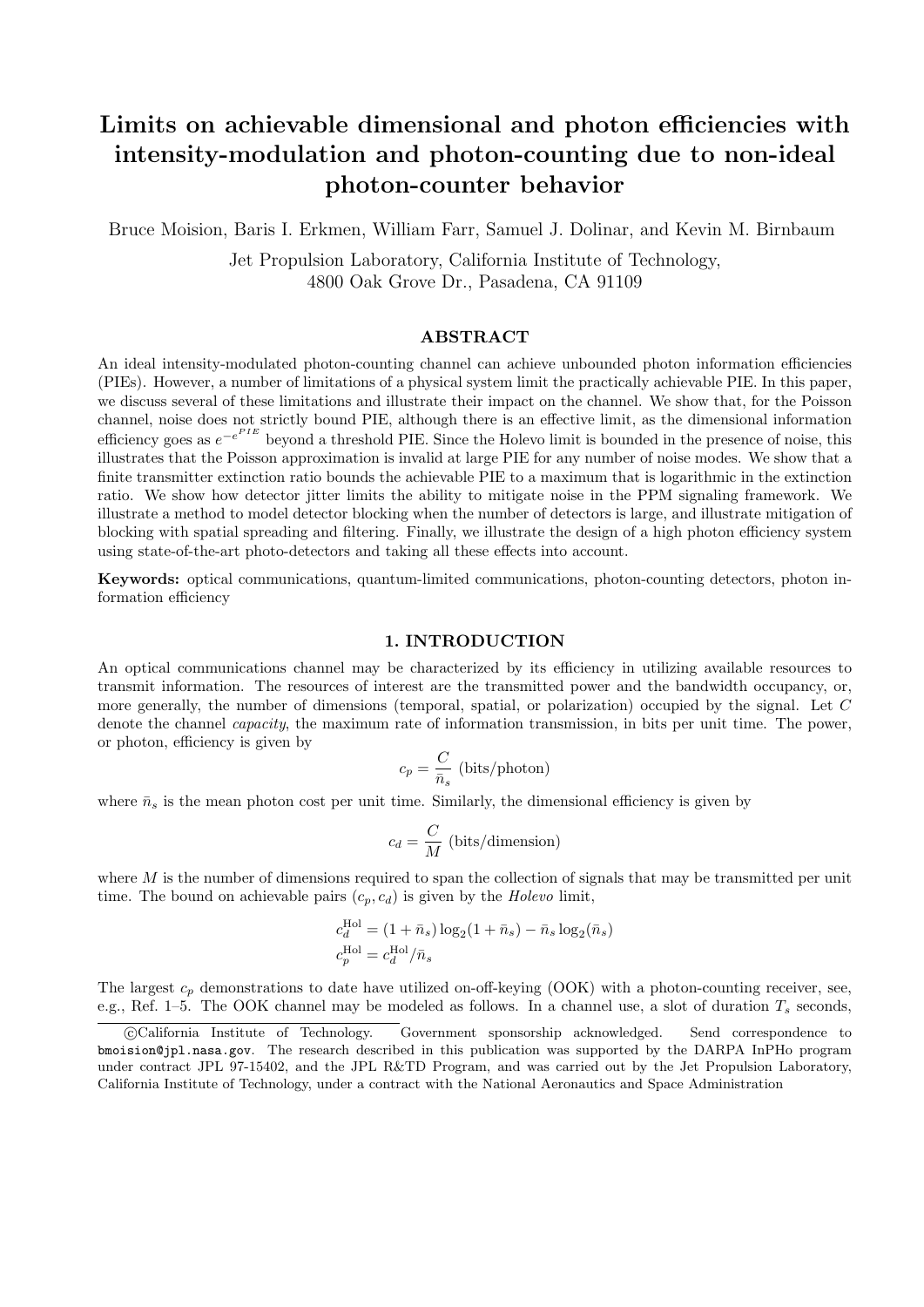# **Limits on achievable dimensional and photon efficiencies with intensity-modulation and photon-counting due to non-ideal photon-counter behavior**

Bruce Moision, Baris I. Erkmen, William Farr, Samuel J. Dolinar, and Kevin M. Birnbaum

Jet Propulsion Laboratory, California Institute of Technology, 4800 Oak Grove Dr., Pasadena, CA 91109

# **ABSTRACT**

An ideal intensity-modulated photon-counting channel can achieve unbounded photon information efficiencies (PIEs). However, a number of limitations of a physical system limit the practically achievable PIE. In this paper, we discuss several of these limitations and illustrate their impact on the channel. We show that, for the Poisson channel, noise does not strictly bound PIE, although there is an effective limit, as the dimensional information *e*fficiency goes as  $e^{-e^{PIE}}$  beyond a threshold PIE. Since the Holevo limit is bounded in the presence of noise, this illustrates that the Poisson approximation is invalid at large PIE for any number of noise modes. We show that a finite transmitter extinction ratio bounds the achievable PIE to a maximum that is logarithmic in the extinction ratio. We show how detector jitter limits the ability to mitigate noise in the PPM signaling framework. We illustrate a method to model detector blocking when the number of detectors is large, and illustrate mitigation of blocking with spatial spreading and filtering. Finally, we illustrate the design of a high photon efficiency system using state-of-the-art photo-detectors and taking all these effects into account.

**Keywords:** optical communications, quantum-limited communications, photon-counting detectors, photon information efficiency

#### **1. INTRODUCTION**

An optical communications channel may be characterized by its efficiency in utilizing available resources to transmit information. The resources of interest are the transmitted power and the bandwidth occupancy, or, more generally, the number of dimensions (temporal, spatial, or polarization) occupied by the signal. Let *C* denote the channel *capacity*, the maximum rate of information transmission, in bits per unit time. The power, or photon, efficiency is given by

$$
c_p = \frac{C}{\bar{n}_s} \text{ (bits/photon)}
$$

where  $\bar{n}_s$  is the mean photon cost per unit time. Similarly, the dimensional efficiency is given by

$$
c_d = \frac{C}{M}
$$
 (bits/dimension)

where *M* is the number of dimensions required to span the collection of signals that may be transmitted per unit time. The bound on achievable pairs  $(c_p, c_d)$  is given by the *Holevo* limit,

$$
c_d^{\text{Hol}} = (1 + \bar{n}_s) \log_2(1 + \bar{n}_s) - \bar{n}_s \log_2(\bar{n}_s)
$$
  

$$
c_p^{\text{Hol}} = c_d^{\text{Hol}} / \bar{n}_s
$$

The largest  $c_p$  demonstrations to date have utilized on-off-keying (OOK) with a photon-counting receiver, see, e.g., Ref. 1–5. The OOK channel may be modeled as follows. In a channel use, a slot of duration *T<sup>s</sup>* seconds,

<sup>©</sup>California Institute of Technology. Government sponsorship acknowledged. Send correspondence to bmoision@jpl.nasa.gov. The research described in this publication was supported by the DARPA InPHo program under contract JPL 97-15402, and the JPL R&TD Program, and was carried out by the Jet Propulsion Laboratory, California Institute of Technology, under a contract with the National Aeronautics and Space Administration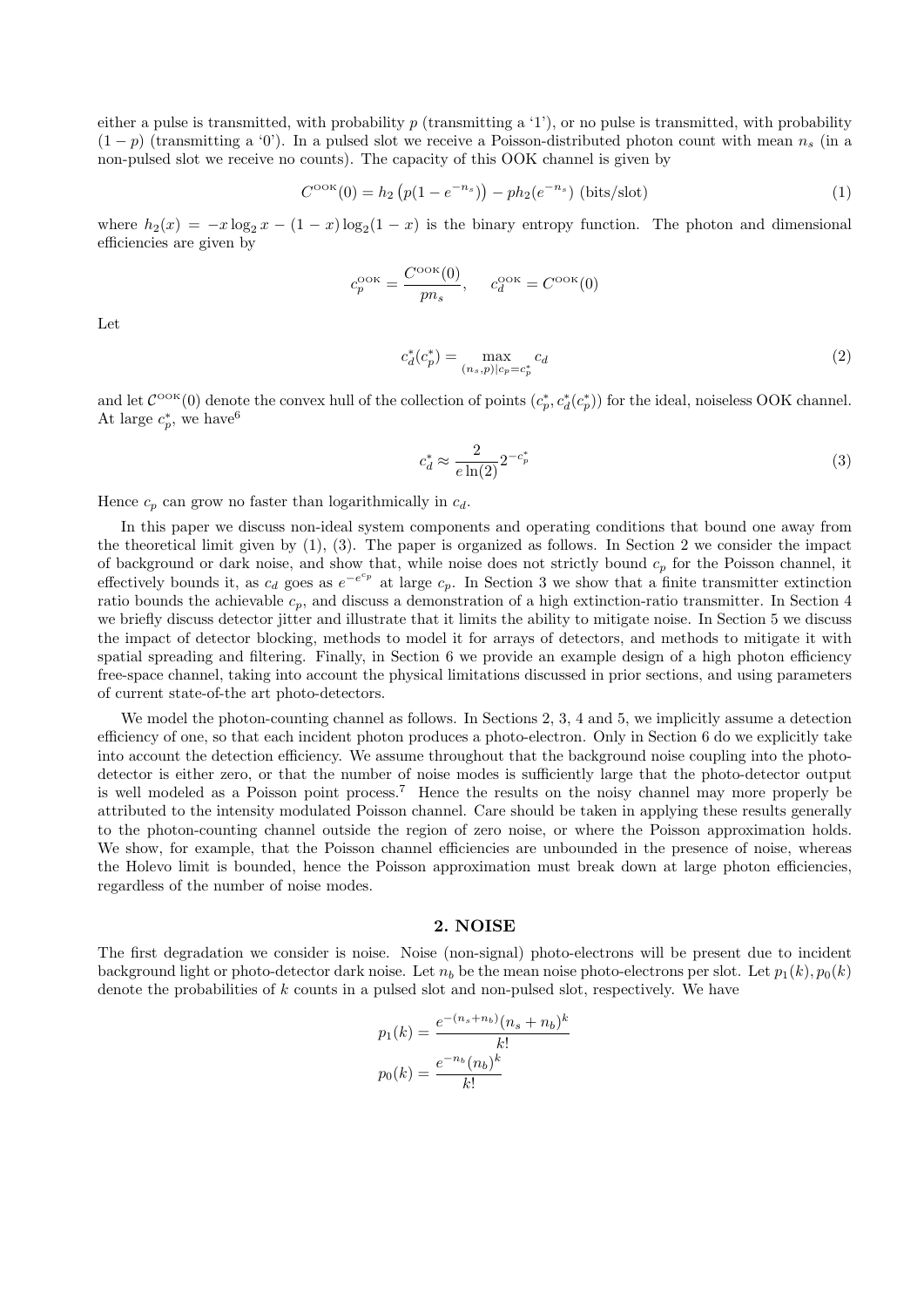either a pulse is transmitted, with probability  $p$  (transmitting a '1'), or no pulse is transmitted, with probability  $(1-p)$  (transmitting a '0'). In a pulsed slot we receive a Poisson-distributed photon count with mean  $n<sub>s</sub>$  (in a non-pulsed slot we receive no counts). The capacity of this OOK channel is given by

$$
C^{\text{ook}}(0) = h_2\left(p(1 - e^{-n_s})\right) - ph_2(e^{-n_s})\text{ (bits/slot)}\tag{1}
$$

where  $h_2(x) = -x \log_2 x - (1 - x) \log_2(1 - x)$  is the binary entropy function. The photon and dimensional efficiencies are given by

$$
c_p^{\text{ook}} = \frac{C^{\text{ook}}(0)}{pn_s}, \qquad c_d^{\text{ook}} = C^{\text{ook}}(0)
$$

Let

$$
c_d^*(c_p^*) = \max_{(n_s, p)|c_p = c_p^*} c_d \tag{2}
$$

and let  $\mathcal{C}^{\text{OOK}}(0)$  denote the convex hull of the collection of points  $(c_p^*, c_d^*(c_p^*))$  for the ideal, noiseless OOK channel. At large  $c_p^*$ , we have<sup>6</sup>

$$
c_d^* \approx \frac{2}{e \ln(2)} 2^{-c_p^*} \tag{3}
$$

Hence  $c_p$  can grow no faster than logarithmically in  $c_d$ .

In this paper we discuss non-ideal system components and operating conditions that bound one away from the theoretical limit given by (1), (3). The paper is organized as follows. In Section 2 we consider the impact of background or dark noise, and show that, while noise does not strictly bound *c<sup>p</sup>* for the Poisson channel, it effectively bounds it, as  $c_d$  goes as  $e^{-e^{c_p}}$  at large  $c_p$ . In Section 3 we show that a finite transmitter extinction ratio bounds the achievable *cp*, and discuss a demonstration of a high extinction-ratio transmitter. In Section 4 we briefly discuss detector jitter and illustrate that it limits the ability to mitigate noise. In Section 5 we discuss the impact of detector blocking, methods to model it for arrays of detectors, and methods to mitigate it with spatial spreading and filtering. Finally, in Section 6 we provide an example design of a high photon efficiency free-space channel, taking into account the physical limitations discussed in prior sections, and using parameters of current state-of-the art photo-detectors.

We model the photon-counting channel as follows. In Sections 2, 3, 4 and 5, we implicitly assume a detection efficiency of one, so that each incident photon produces a photo-electron. Only in Section 6 do we explicitly take into account the detection efficiency. We assume throughout that the background noise coupling into the photodetector is either zero, or that the number of noise modes is sufficiently large that the photo-detector output is well modeled as a Poisson point process.<sup>7</sup> Hence the results on the noisy channel may more properly be attributed to the intensity modulated Poisson channel. Care should be taken in applying these results generally to the photon-counting channel outside the region of zero noise, or where the Poisson approximation holds. We show, for example, that the Poisson channel efficiencies are unbounded in the presence of noise, whereas the Holevo limit is bounded, hence the Poisson approximation must break down at large photon efficiencies, regardless of the number of noise modes.

#### **2. NOISE**

The first degradation we consider is noise. Noise (non-signal) photo-electrons will be present due to incident background light or photo-detector dark noise. Let  $n_b$  be the mean noise photo-electrons per slot. Let  $p_1(k)$ ,  $p_0(k)$ denote the probabilities of *k* counts in a pulsed slot and non-pulsed slot, respectively. We have

$$
p_1(k) = \frac{e^{-(n_s+n_b)}(n_s+n_b)^k}{k!}
$$

$$
p_0(k) = \frac{e^{-n_b}(n_b)^k}{k!}
$$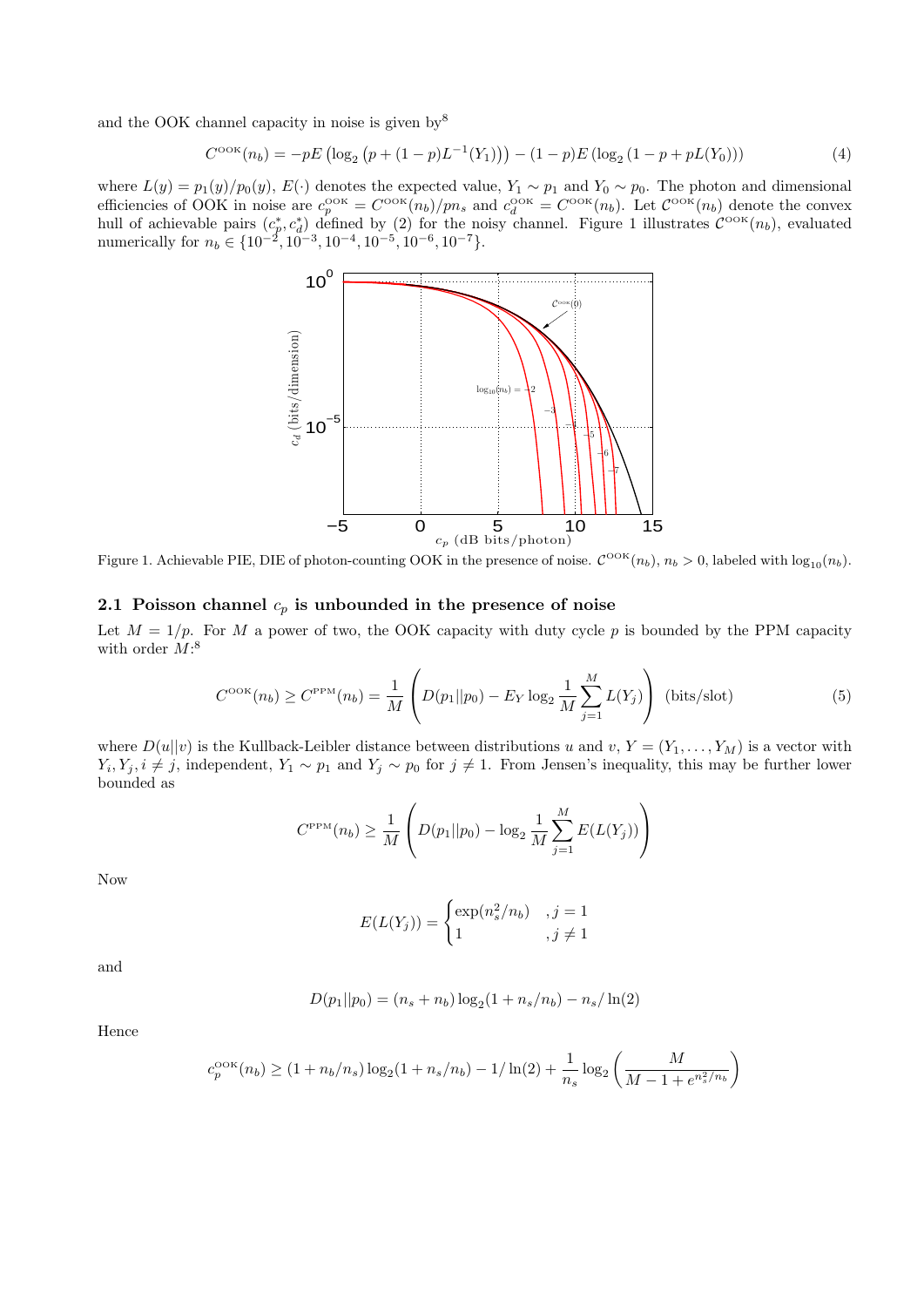and the OOK channel capacity in noise is given by  $8^8$ 

$$
C^{\text{ook}}(n_b) = -pE\left(\log_2\left(p + (1 - p)L^{-1}(Y_1)\right)\right) - (1 - p)E\left(\log_2\left(1 - p + pL(Y_0)\right)\right) \tag{4}
$$

where  $L(y) = p_1(y)/p_0(y)$ ,  $E(\cdot)$  denotes the expected value,  $Y_1 \sim p_1$  and  $Y_0 \sim p_0$ . The photon and dimensional efficiencies of OOK in noise are  $c_p^{\text{OOK}} = C^{\text{OOK}}(n_b)/pn_s$  and  $c_d^{\text{OOK}} = C^{\text{OOK}}(n_b)$ . Let  $C^{\text{OOK}}(n_b)$  denote the convex hull of achievable pairs  $(c_p^*, c_d^*)$  defined by (2) for the noisy channel. Figure 1 illustrates  $\mathcal{C}^{\text{OK}}(n_b)$ , evaluated numerically for *n<sup>b</sup> ∈ {*10*−*<sup>2</sup> *,* 10*−*<sup>3</sup> *,* 10*−*<sup>4</sup> *,* 10*−*<sup>5</sup> *,* 10*−*<sup>6</sup> *,* 10*−*<sup>7</sup>*}*.



Figure 1. Achievable PIE, DIE of photon-counting OOK in the presence of noise.  $\mathcal{C}^{\text{OOK}}(n_b)$ ,  $n_b > 0$ , labeled with  $\log_{10}(n_b)$ .

# **2.1 Poisson channel** *c<sup>p</sup>* **is unbounded in the presence of noise**

Let  $M = 1/p$ . For M a power of two, the OOK capacity with duty cycle p is bounded by the PPM capacity with order *M*: 8

$$
C^{\text{ook}}(n_b) \ge C^{\text{PPM}}(n_b) = \frac{1}{M} \left( D(p_1 || p_0) - E_Y \log_2 \frac{1}{M} \sum_{j=1}^{M} L(Y_j) \right) \text{ (bits/slot)}
$$
(5)

where  $D(u||v)$  is the Kullback-Leibler distance between distributions *u* and *v*,  $Y = (Y_1, \ldots, Y_M)$  is a vector with  $Y_i, Y_j, i \neq j$ , independent,  $Y_1 \sim p_1$  and  $Y_j \sim p_0$  for  $j \neq 1$ . From Jensen's inequality, this may be further lower bounded as

$$
C^{\rm PPM}(n_b) \ge \frac{1}{M} \left( D(p_1 || p_0) - \log_2 \frac{1}{M} \sum_{j=1}^{M} E(L(Y_j)) \right)
$$

Now

$$
E(L(Y_j)) = \begin{cases} \exp(n_s^2/n_b) & , j = 1\\ 1 & , j \neq 1 \end{cases}
$$

and

$$
D(p_1||p_0) = (n_s + n_b) \log_2(1 + n_s/n_b) - n_s/\ln(2)
$$

Hence

$$
c_p^{\mathrm{OOK}}(n_b) \geq (1+n_b/n_s)\log_2(1+n_s/n_b) - 1/\ln(2) + \frac{1}{n_s}\log_2\left(\frac{M}{M-1+e^{n_s^2/n_b}}\right)
$$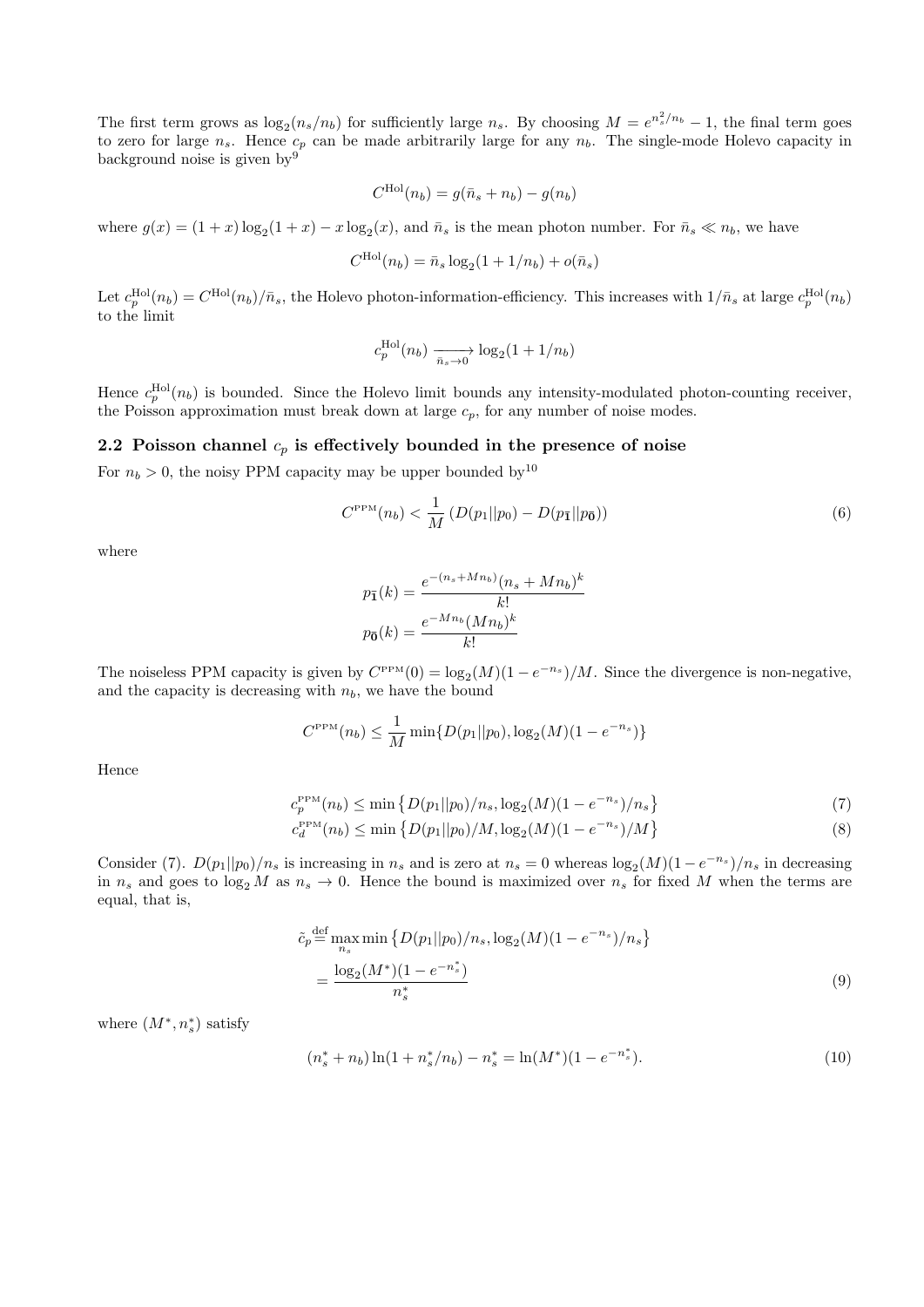The first term grows as  $\log_2(n_s/n_b)$  for sufficiently large *n<sub>s</sub>*. By choosing  $M = e^{n_s^2/n_b} - 1$ , the final term goes to zero for large  $n_s$ . Hence  $c_p$  can be made arbitrarily large for any  $n_b$ . The single-mode Holevo capacity in background noise is given by<br> $\sp{9}$ 

$$
C^{\text{Hol}}(n_b) = g(\bar{n}_s + n_b) - g(n_b)
$$

where  $g(x) = (1+x) \log_2(1+x) - x \log_2(x)$ , and  $\bar{n}_s$  is the mean photon number. For  $\bar{n}_s \ll n_b$ , we have

$$
C^{\text{Hol}}(n_b) = \bar{n}_s \log_2(1 + 1/n_b) + o(\bar{n}_s)
$$

Let  $c_p^{\text{Hol}}(n_b) = C^{\text{Hol}}(n_b)/\bar{n}_s$ , the Holevo photon-information-efficiency. This increases with  $1/\bar{n}_s$  at large  $c_p^{\text{Hol}}(n_b)$ to the limit

$$
c_p^{\text{Hol}}(n_b) \xrightarrow{\bar{n}_s \to 0} \log_2(1 + 1/n_b)
$$

Hence  $c_p^{\text{Hol}}(n_b)$  is bounded. Since the Holevo limit bounds any intensity-modulated photon-counting receiver, the Poisson approximation must break down at large  $c_p$ , for any number of noise modes.

# **2.2 Poisson channel** *c<sup>p</sup>* **is effectively bounded in the presence of noise**

For  $n_b > 0$ , the noisy PPM capacity may be upper bounded by<sup>10</sup>

$$
C^{\rm PPM}(n_b) < \frac{1}{M} \left( D(p_1 || p_0) - D(p_{\bar{1}} || p_{\bar{0}}) \right) \tag{6}
$$

where

$$
p_{\overline{1}}(k) = \frac{e^{-(n_s + Mn_b)}(n_s + Mn_b)^k}{k!}
$$

$$
p_{\overline{0}}(k) = \frac{e^{-Mn_b}(Mn_b)^k}{k!}
$$

The noiseless PPM capacity is given by  $C^{PPM}(0) = \log_2(M)(1 - e^{-n_s})/M$ . Since the divergence is non-negative, and the capacity is decreasing with  $n_b$ , we have the bound

$$
C^{\text{PPM}}(n_b) \le \frac{1}{M} \min\{D(p_1||p_0), \log_2(M)(1 - e^{-n_s})\}
$$

Hence

$$
c_p^{\text{PPM}}(n_b) \le \min \left\{ D(p_1 || p_0) / n_s, \log_2(M) (1 - e^{-n_s}) / n_s \right\} \tag{7}
$$

$$
c_d^{\text{PPM}}(n_b) \le \min\left\{ D(p_1||p_0)/M, \log_2(M)(1 - e^{-n_s})/M \right\} \tag{8}
$$

Consider (7).  $D(p_1||p_0)/n_s$  is increasing in  $n_s$  and is zero at  $n_s = 0$  whereas  $\log_2(M)(1 - e^{-n_s})/n_s$  in decreasing in  $n_s$  and goes to  $\log_2 M$  as  $n_s \to 0$ . Hence the bound is maximized over  $n_s$  for fixed M when the terms are equal, that is,

$$
\tilde{c}_p \stackrel{\text{def}}{=} \max_{n_s} \min \left\{ D(p_1 || p_0) / n_s, \log_2(M) (1 - e^{-n_s}) / n_s \right\}
$$
\n
$$
= \frac{\log_2(M^*)(1 - e^{-n_s^*})}{n_s^*}
$$
\n(9)

where  $(M^*, n_s^*)$  satisfy

$$
(n_s^* + n_b)\ln(1 + n_s^*/n_b) - n_s^* = \ln(M^*)(1 - e^{-n_s^*}).\tag{10}
$$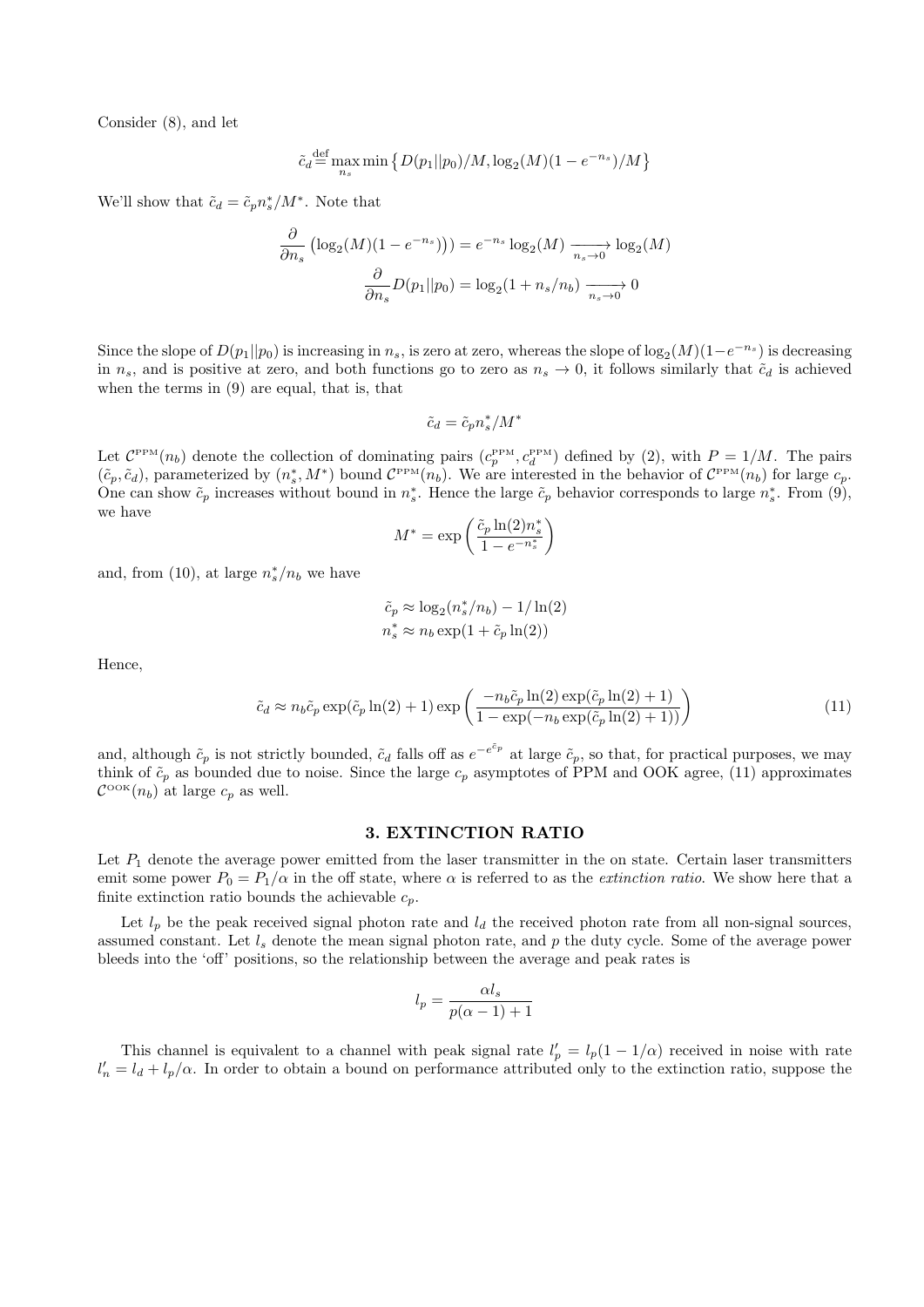Consider (8), and let

$$
\tilde{c}_d \stackrel{\text{def}}{=} \max_{n_s} \min \left\{ D(p_1 || p_0) / M, \log_2(M) (1 - e^{-n_s}) / M \right\}
$$

We'll show that  $\tilde{c}_d = \tilde{c}_p n_s^* / M^*$ . Note that

$$
\frac{\partial}{\partial n_s} \left( \log_2(M)(1 - e^{-n_s}) \right) = e^{-n_s} \log_2(M) \xrightarrow[n_s \to 0]{} \log_2(M)
$$

$$
\frac{\partial}{\partial n_s} D(p_1 || p_0) = \log_2(1 + n_s/n_b) \xrightarrow[n_s \to 0]{} 0
$$

Since the slope of  $D(p_1||p_0)$  is increasing in  $n_s$ , is zero at zero, whereas the slope of  $log_2(M)(1-e^{-n_s})$  is decreasing in  $n_s$ , and is positive at zero, and both functions go to zero as  $n_s \to 0$ , it follows similarly that  $\tilde{c}_d$  is achieved when the terms in (9) are equal, that is, that

$$
\tilde{c}_d = \tilde{c}_p n_s^* / M^*
$$

Let  $C^{PPM}(n_b)$  denote the collection of dominating pairs  $(c_p^{PPM}, c_d^{PPM})$  defined by (2), with  $P = 1/M$ . The pairs  $(\tilde{c}_p, \tilde{c}_d)$ , parameterized by  $(n_s^*, M^*)$  bound  $C^{PPM}(n_b)$ . We are interested in the behavior of  $C^{PPM}(n_b)$  for large  $c_p$ . One can show  $\tilde{c}_p$  increases without bound in  $n_s^*$ . Hence the large  $\tilde{c}_p$  behavior corresponds to large  $n_s^*$ . From (9), we have

$$
M^* = \exp\left(\frac{\tilde{c}_p \ln(2) n_s^*}{1 - e^{-n_s^*}}\right)
$$

and, from (10), at large  $n_s^*/n_b$  we have

$$
\tilde{c}_p \approx \log_2(n_s^*/n_b) - 1/\ln(2)
$$
  

$$
n_s^* \approx n_b \exp(1 + \tilde{c}_p \ln(2))
$$

*n*

Hence,

$$
\tilde{c}_d \approx n_b \tilde{c}_p \exp(\tilde{c}_p \ln(2) + 1) \exp\left(\frac{-n_b \tilde{c}_p \ln(2) \exp(\tilde{c}_p \ln(2) + 1)}{1 - \exp(-n_b \exp(\tilde{c}_p \ln(2) + 1))}\right)
$$
(11)

and, although  $\tilde{c}_p$  is not strictly bounded,  $\tilde{c}_d$  falls off as  $e^{-e^{\tilde{c}_p}}$  at large  $\tilde{c}_p$ , so that, for practical purposes, we may think of  $\tilde{c}_p$  as bounded due to noise. Since the large  $c_p$  asymptotes of PPM and OOK agree, (11) approximates  $\mathcal{C}^{\text{OOK}}(n_b)$  at large  $c_p$  as well.

#### **3. EXTINCTION RATIO**

Let  $P_1$  denote the average power emitted from the laser transmitter in the on state. Certain laser transmitters emit some power  $P_0 = P_1/\alpha$  in the off state, where  $\alpha$  is referred to as the *extinction ratio*. We show here that a finite extinction ratio bounds the achievable  $c_p$ .

Let  $l_p$  be the peak received signal photon rate and  $l_d$  the received photon rate from all non-signal sources, assumed constant. Let *l<sup>s</sup>* denote the mean signal photon rate, and *p* the duty cycle. Some of the average power bleeds into the 'off' positions, so the relationship between the average and peak rates is

$$
l_p = \frac{\alpha l_s}{p(\alpha - 1) + 1}
$$

This channel is equivalent to a channel with peak signal rate  $l'_p = l_p(1 - 1/\alpha)$  received in noise with rate  $l'_n = l_d + l_p/\alpha$ . In order to obtain a bound on performance attributed only to the extinction ratio, suppose the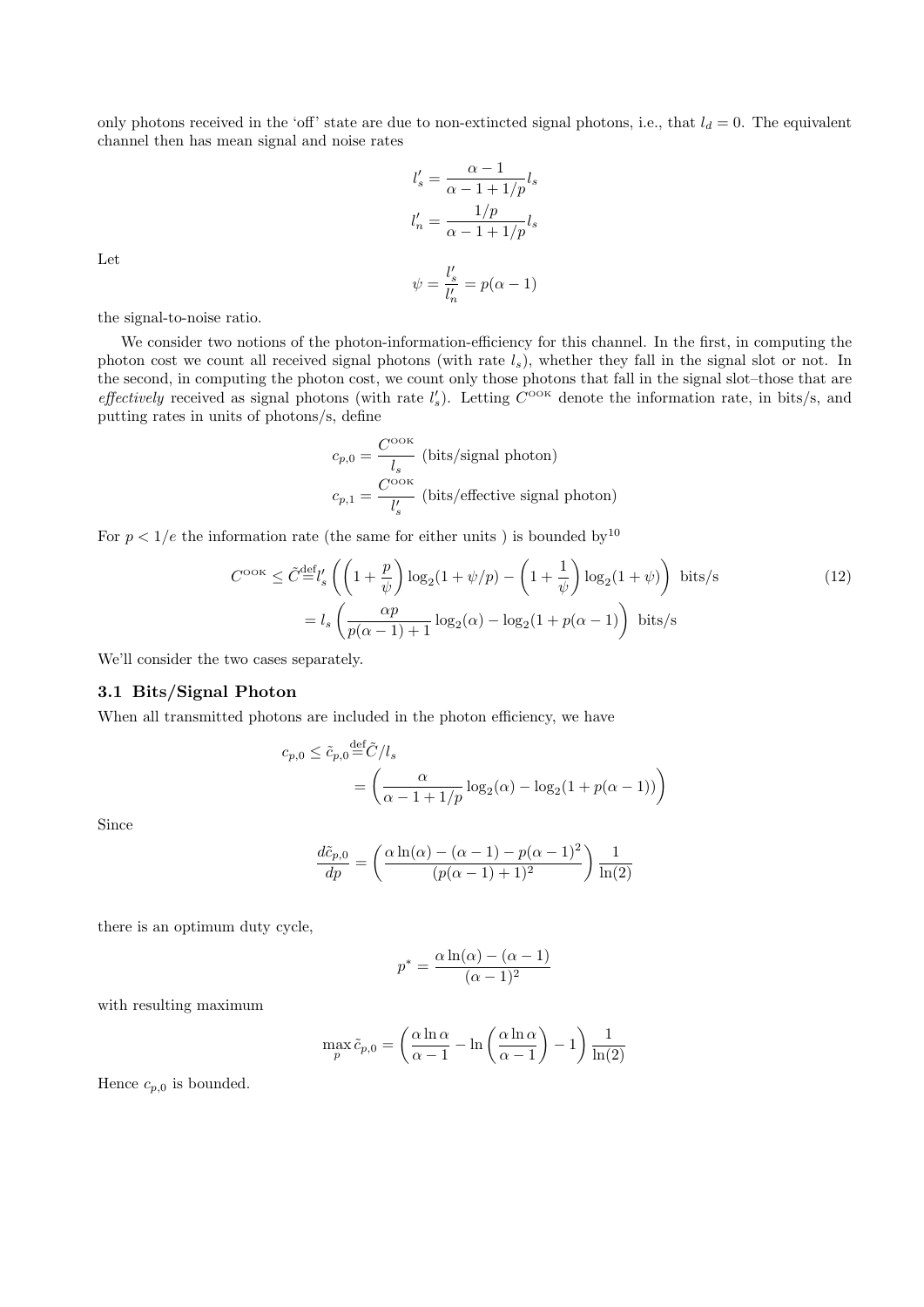only photons received in the 'off' state are due to non-extincted signal photons, i.e., that  $l_d = 0$ . The equivalent channel then has mean signal and noise rates

$$
l'_{s} = \frac{\alpha - 1}{\alpha - 1 + 1/p} l_{s}
$$

$$
l'_{n} = \frac{1/p}{\alpha - 1 + 1/p} l_{s}
$$

$$
\psi = \frac{l'_{s}}{l'_{n}} = p(\alpha - 1)
$$

Let

the signal-to-noise ratio.

We consider two notions of the photon-information-efficiency for this channel. In the first, in computing the photon cost we count all received signal photons (with rate *ls*), whether they fall in the signal slot or not. In the second, in computing the photon cost, we count only those photons that fall in the signal slot–those that are *effectively* received as signal photons (with rate  $l'_{s}$ ). Letting  $C^{OOK}$  denote the information rate, in bits/s, and putting rates in units of photons/s, define

$$
c_{p,0} = \frac{C^{\text{ook}}}{l_s}
$$
 (bits/signal photon)  

$$
c_{p,1} = \frac{C^{\text{ook}}}{l'_s}
$$
 (bits/effective signal photon)

For  $p < 1/e$  the information rate (the same for either units) is bounded by<sup>10</sup>

$$
C^{\text{ook}} \leq \tilde{C}^{\text{def}}_{\text{s}} \left( \left( 1 + \frac{p}{\psi} \right) \log_2(1 + \psi/p) - \left( 1 + \frac{1}{\psi} \right) \log_2(1 + \psi) \right) \text{ bits/s}
$$
\n
$$
= l_s \left( \frac{\alpha p}{p(\alpha - 1) + 1} \log_2(\alpha) - \log_2(1 + p(\alpha - 1) \right) \text{ bits/s}
$$
\n
$$
(12)
$$

We'll consider the two cases separately.

#### **3.1 Bits/Signal Photon**

When all transmitted photons are included in the photon efficiency, we have

$$
c_{p,0} \le \tilde{c}_{p,0} \stackrel{\text{def}}{=} \tilde{C}/l_s
$$
  
= 
$$
\left(\frac{\alpha}{\alpha - 1 + 1/p} \log_2(\alpha) - \log_2(1 + p(\alpha - 1))\right)
$$

Since

$$
\frac{d\tilde{c}_{p,0}}{dp} = \left(\frac{\alpha \ln(\alpha) - (\alpha - 1) - p(\alpha - 1)^2}{(p(\alpha - 1) + 1)^2}\right) \frac{1}{\ln(2)}
$$

there is an optimum duty cycle,

$$
p^* = \frac{\alpha \ln(\alpha) - (\alpha - 1)}{(\alpha - 1)^2}
$$

with resulting maximum

$$
\max_{p} \tilde{c}_{p,0} = \left(\frac{\alpha \ln \alpha}{\alpha - 1} - \ln \left(\frac{\alpha \ln \alpha}{\alpha - 1}\right) - 1\right) \frac{1}{\ln(2)}
$$

Hence  $c_{p,0}$  is bounded.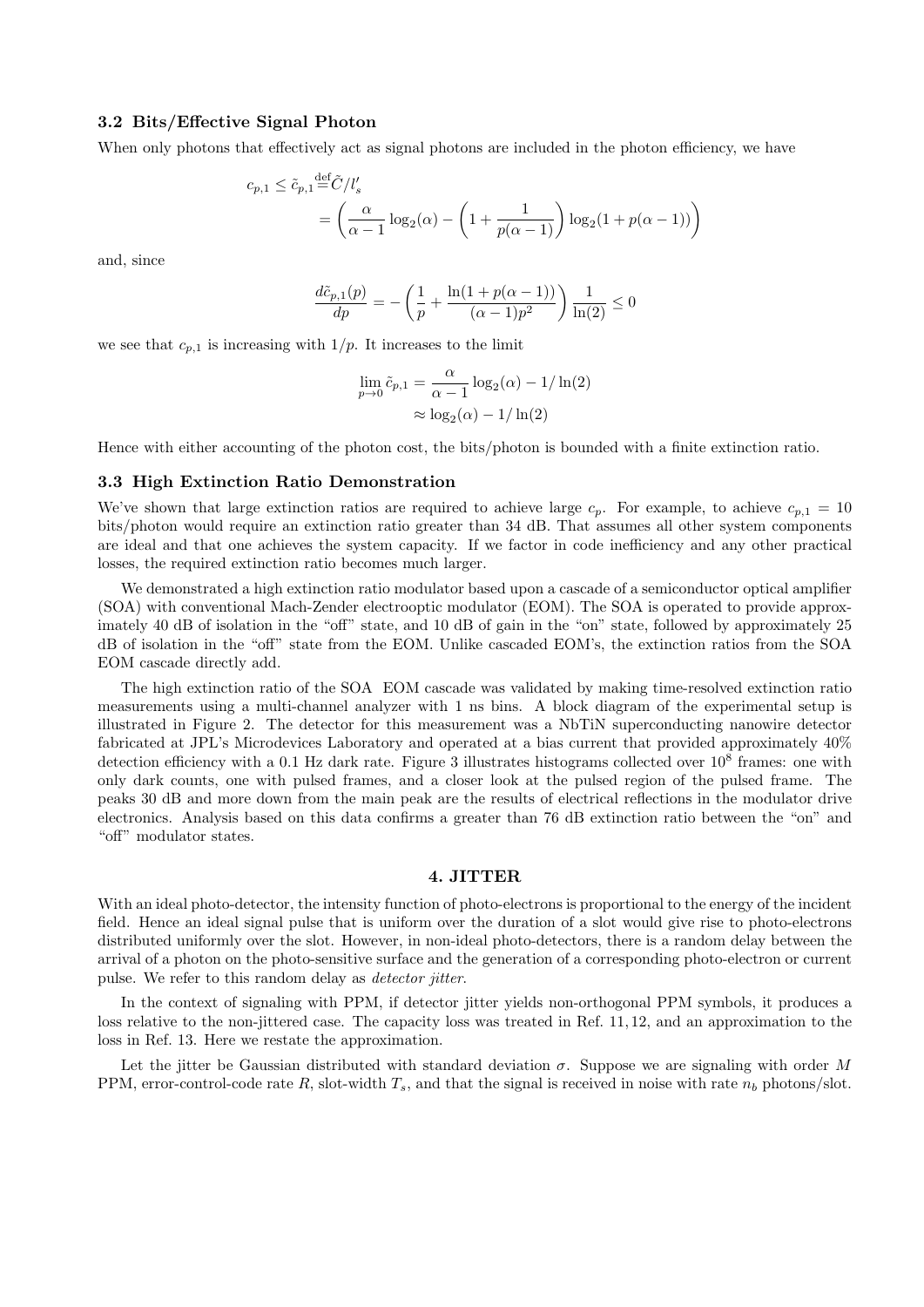#### **3.2 Bits/Effective Signal Photon**

When only photons that effectively act as signal photons are included in the photon efficiency, we have

$$
c_{p,1} \le \tilde{c}_{p,1} \stackrel{\text{def}}{=} \tilde{C}/l_s' = \left(\frac{\alpha}{\alpha - 1} \log_2(\alpha) - \left(1 + \frac{1}{p(\alpha - 1)}\right) \log_2(1 + p(\alpha - 1))\right)
$$

and, since

$$
\frac{d\tilde{c}_{p,1}(p)}{dp} = -\left(\frac{1}{p} + \frac{\ln(1 + p(\alpha - 1))}{(\alpha - 1)p^2}\right)\frac{1}{\ln(2)} \le 0
$$

we see that  $c_{p,1}$  is increasing with  $1/p$ . It increases to the limit

$$
\lim_{p \to 0} \tilde{c}_{p,1} = \frac{\alpha}{\alpha - 1} \log_2(\alpha) - 1/\ln(2)
$$

$$
\approx \log_2(\alpha) - 1/\ln(2)
$$

Hence with either accounting of the photon cost, the bits/photon is bounded with a finite extinction ratio.

#### **3.3 High Extinction Ratio Demonstration**

We've shown that large extinction ratios are required to achieve large  $c_p$ . For example, to achieve  $c_{p,1} = 10$ bits/photon would require an extinction ratio greater than 34 dB. That assumes all other system components are ideal and that one achieves the system capacity. If we factor in code inefficiency and any other practical losses, the required extinction ratio becomes much larger.

We demonstrated a high extinction ratio modulator based upon a cascade of a semiconductor optical amplifier (SOA) with conventional Mach-Zender electrooptic modulator (EOM). The SOA is operated to provide approximately 40 dB of isolation in the "off" state, and 10 dB of gain in the "on" state, followed by approximately 25 dB of isolation in the "off" state from the EOM. Unlike cascaded EOM's, the extinction ratios from the SOA EOM cascade directly add.

The high extinction ratio of the SOA EOM cascade was validated by making time-resolved extinction ratio measurements using a multi-channel analyzer with 1 ns bins. A block diagram of the experimental setup is illustrated in Figure 2. The detector for this measurement was a NbTiN superconducting nanowire detector fabricated at JPL's Microdevices Laboratory and operated at a bias current that provided approximately 40% detection efficiency with a 0.1 Hz dark rate. Figure 3 illustrates histograms collected over  $10^8$  frames: one with only dark counts, one with pulsed frames, and a closer look at the pulsed region of the pulsed frame. The peaks 30 dB and more down from the main peak are the results of electrical reflections in the modulator drive electronics. Analysis based on this data confirms a greater than 76 dB extinction ratio between the "on" and "off" modulator states.

#### **4. JITTER**

With an ideal photo-detector, the intensity function of photo-electrons is proportional to the energy of the incident field. Hence an ideal signal pulse that is uniform over the duration of a slot would give rise to photo-electrons distributed uniformly over the slot. However, in non-ideal photo-detectors, there is a random delay between the arrival of a photon on the photo-sensitive surface and the generation of a corresponding photo-electron or current pulse. We refer to this random delay as *detector jitter*.

In the context of signaling with PPM, if detector jitter yields non-orthogonal PPM symbols, it produces a loss relative to the non-jittered case. The capacity loss was treated in Ref. 11, 12, and an approximation to the loss in Ref. 13. Here we restate the approximation.

Let the jitter be Gaussian distributed with standard deviation *σ*. Suppose we are signaling with order *M* PPM, error-control-code rate  $R$ , slot-width  $T_s$ , and that the signal is received in noise with rate  $n_b$  photons/slot.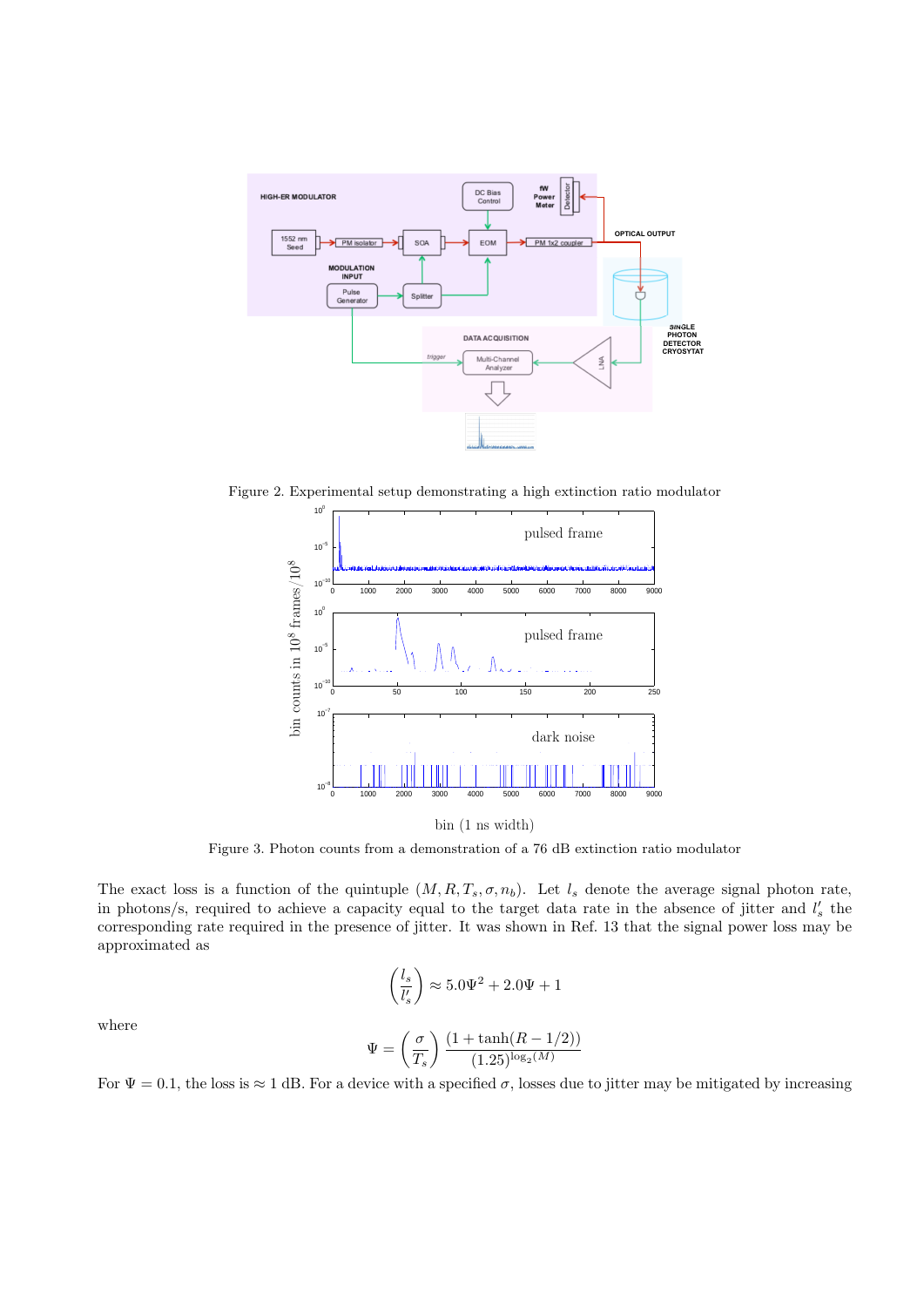

Figure 2. Experimental setup demonstrating a high extinction ratio modulator



bin (1 ns width)

Figure 3. Photon counts from a demonstration of a 76 dB extinction ratio modulator

The exact loss is a function of the quintuple  $(M, R, T_s, \sigma, n_b)$ . Let  $l_s$  denote the average signal photon rate, in photons/s, required to achieve a capacity equal to the target data rate in the absence of jitter and  $l'_{s}$  the corresponding rate required in the presence of jitter. It was shown in Ref. 13 that the signal power loss may be approximated as

$$
\left(\frac{l_s}{l'_s}\right) \approx 5.0\Psi^2 + 2.0\Psi + 1
$$

where

$$
\Psi=\left(\frac{\sigma}{T_s}\right)\frac{(1+\tanh(R-1/2))}{(1.25)^{\log_2(M)}}
$$

For  $\Psi = 0.1$ , the loss is  $\approx 1$  dB. For a device with a specified  $\sigma$ , losses due to jitter may be mitigated by increasing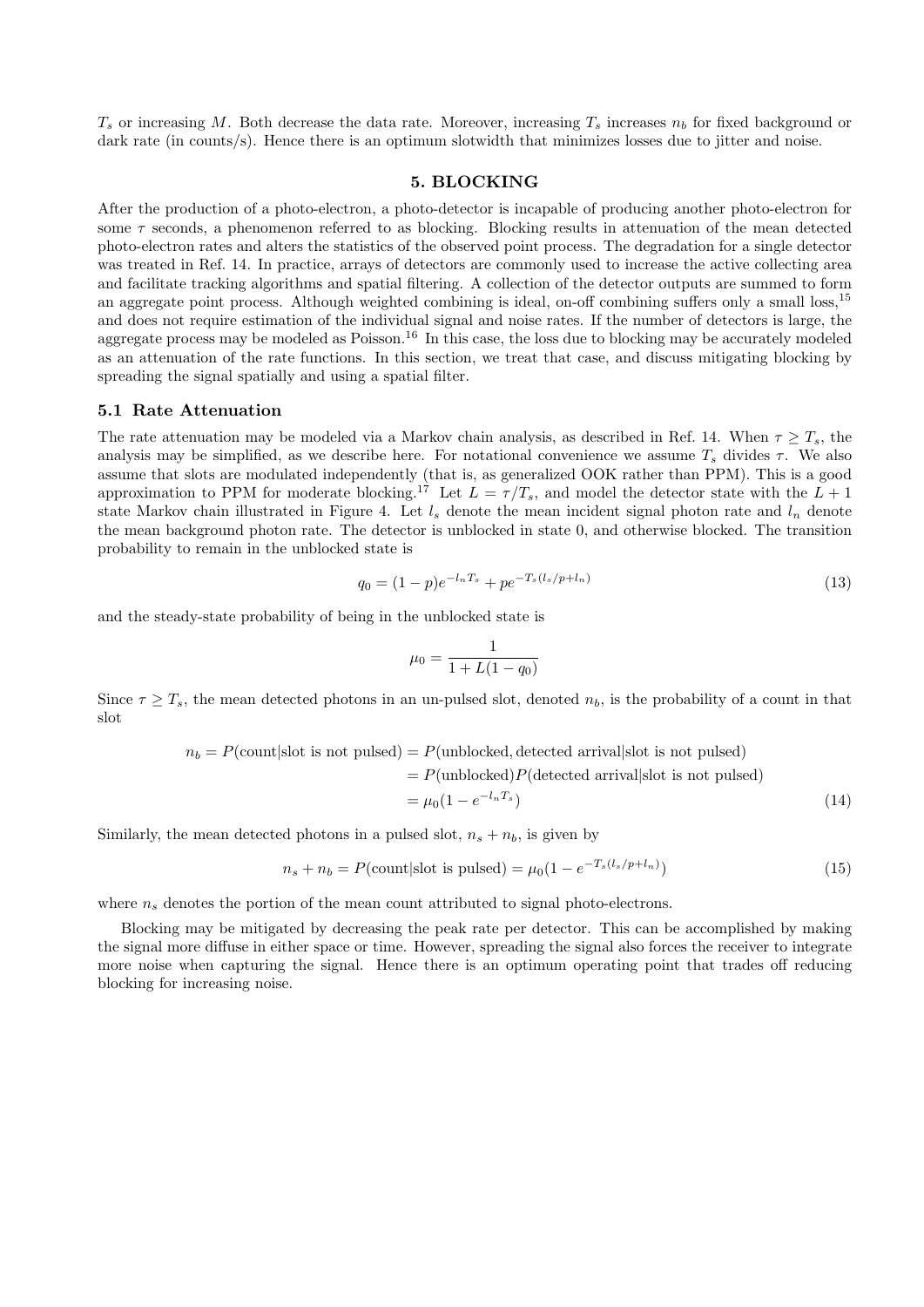$T_s$  or increasing *M*. Both decrease the data rate. Moreover, increasing  $T_s$  increases  $n_b$  for fixed background or dark rate (in counts/s). Hence there is an optimum slotwidth that minimizes losses due to jitter and noise.

#### **5. BLOCKING**

After the production of a photo-electron, a photo-detector is incapable of producing another photo-electron for some *τ* seconds, a phenomenon referred to as blocking. Blocking results in attenuation of the mean detected photo-electron rates and alters the statistics of the observed point process. The degradation for a single detector was treated in Ref. 14. In practice, arrays of detectors are commonly used to increase the active collecting area and facilitate tracking algorithms and spatial filtering. A collection of the detector outputs are summed to form an aggregate point process. Although weighted combining is ideal, on-off combining suffers only a small loss,<sup>15</sup> and does not require estimation of the individual signal and noise rates. If the number of detectors is large, the aggregate process may be modeled as Poisson.<sup>16</sup> In this case, the loss due to blocking may be accurately modeled as an attenuation of the rate functions. In this section, we treat that case, and discuss mitigating blocking by spreading the signal spatially and using a spatial filter.

#### **5.1 Rate Attenuation**

The rate attenuation may be modeled via a Markov chain analysis, as described in Ref. 14. When  $\tau \geq T_s$ , the analysis may be simplified, as we describe here. For notational convenience we assume  $T_s$  divides  $\tau$ . We also assume that slots are modulated independently (that is, as generalized OOK rather than PPM). This is a good approximation to PPM for moderate blocking.<sup>17</sup> Let  $L = \tau/T_s$ , and model the detector state with the  $L + 1$ state Markov chain illustrated in Figure 4. Let  $l_s$  denote the mean incident signal photon rate and  $l_n$  denote the mean background photon rate. The detector is unblocked in state 0, and otherwise blocked. The transition probability to remain in the unblocked state is

$$
q_0 = (1 - p)e^{-l_n T_s} + pe^{-T_s(l_s/p + l_n)}
$$
\n(13)

and the steady-state probability of being in the unblocked state is

$$
\mu_0 = \frac{1}{1 + L(1 - q_0)}
$$

Since  $\tau \geq T_s$ , the mean detected photons in an un-pulsed slot, denoted  $n_b$ , is the probability of a count in that slot

$$
n_b = P(\text{count}|\text{slot is not pulsed}) = P(\text{unblocked, detected arrival}|\text{slot is not pulsed})
$$

$$
= P(\text{unblocked})P(\text{detected arrival}|\text{slot is not pulsed})
$$

$$
= \mu_0(1 - e^{-l_nT_s})
$$
(14)

Similarly, the mean detected photons in a pulsed slot,  $n_s + n_b$ , is given by

$$
n_s + n_b = P(\text{count}|\text{slot is pulsed}) = \mu_0(1 - e^{-T_s(l_s/p + l_n)})
$$
\n(15)

where  $n_s$  denotes the portion of the mean count attributed to signal photo-electrons.

Blocking may be mitigated by decreasing the peak rate per detector. This can be accomplished by making the signal more diffuse in either space or time. However, spreading the signal also forces the receiver to integrate more noise when capturing the signal. Hence there is an optimum operating point that trades off reducing blocking for increasing noise.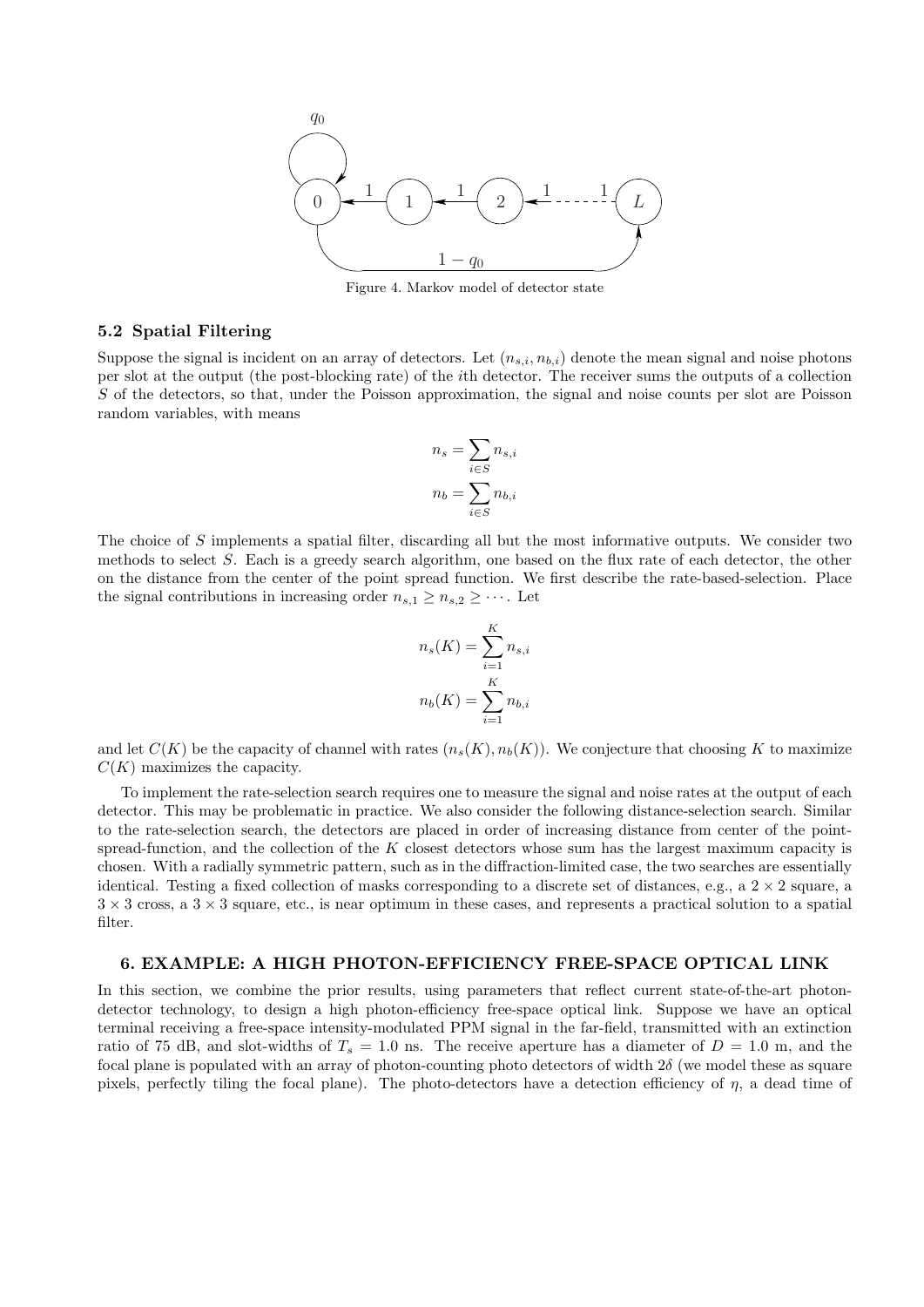

Figure 4. Markov model of detector state

### **5.2 Spatial Filtering**

Suppose the signal is incident on an array of detectors. Let  $(n_{s,i}, n_{b,i})$  denote the mean signal and noise photons per slot at the output (the post-blocking rate) of the *i*th detector. The receiver sums the outputs of a collection *S* of the detectors, so that, under the Poisson approximation, the signal and noise counts per slot are Poisson random variables, with means

$$
n_s = \sum_{i \in S} n_{s,i}
$$

$$
n_b = \sum_{i \in S} n_{b,i}
$$

The choice of *S* implements a spatial filter, discarding all but the most informative outputs. We consider two methods to select *S*. Each is a greedy search algorithm, one based on the flux rate of each detector, the other on the distance from the center of the point spread function. We first describe the rate-based-selection. Place the signal contributions in increasing order  $n_{s,1} \geq n_{s,2} \geq \cdots$ . Let

$$
n_s(K) = \sum_{i=1}^{K} n_{s,i}
$$

$$
n_b(K) = \sum_{i=1}^{K} n_{b,i}
$$

and let  $C(K)$  be the capacity of channel with rates  $(n_s(K), n_b(K))$ . We conjecture that choosing K to maximize *C*(*K*) maximizes the capacity.

To implement the rate-selection search requires one to measure the signal and noise rates at the output of each detector. This may be problematic in practice. We also consider the following distance-selection search. Similar to the rate-selection search, the detectors are placed in order of increasing distance from center of the pointspread-function, and the collection of the *K* closest detectors whose sum has the largest maximum capacity is chosen. With a radially symmetric pattern, such as in the diffraction-limited case, the two searches are essentially identical. Testing a fixed collection of masks corresponding to a discrete set of distances, e.g., a  $2 \times 2$  square, a 3 *×* 3 cross, a 3 *×* 3 square, etc., is near optimum in these cases, and represents a practical solution to a spatial filter.

#### **6. EXAMPLE: A HIGH PHOTON-EFFICIENCY FREE-SPACE OPTICAL LINK**

In this section, we combine the prior results, using parameters that reflect current state-of-the-art photondetector technology, to design a high photon-efficiency free-space optical link. Suppose we have an optical terminal receiving a free-space intensity-modulated PPM signal in the far-field, transmitted with an extinction ratio of 75 dB, and slot-widths of  $T_s = 1.0$  ns. The receive aperture has a diameter of  $D = 1.0$  m, and the focal plane is populated with an array of photon-counting photo detectors of width 2*δ* (we model these as square pixels, perfectly tiling the focal plane). The photo-detectors have a detection efficiency of *η*, a dead time of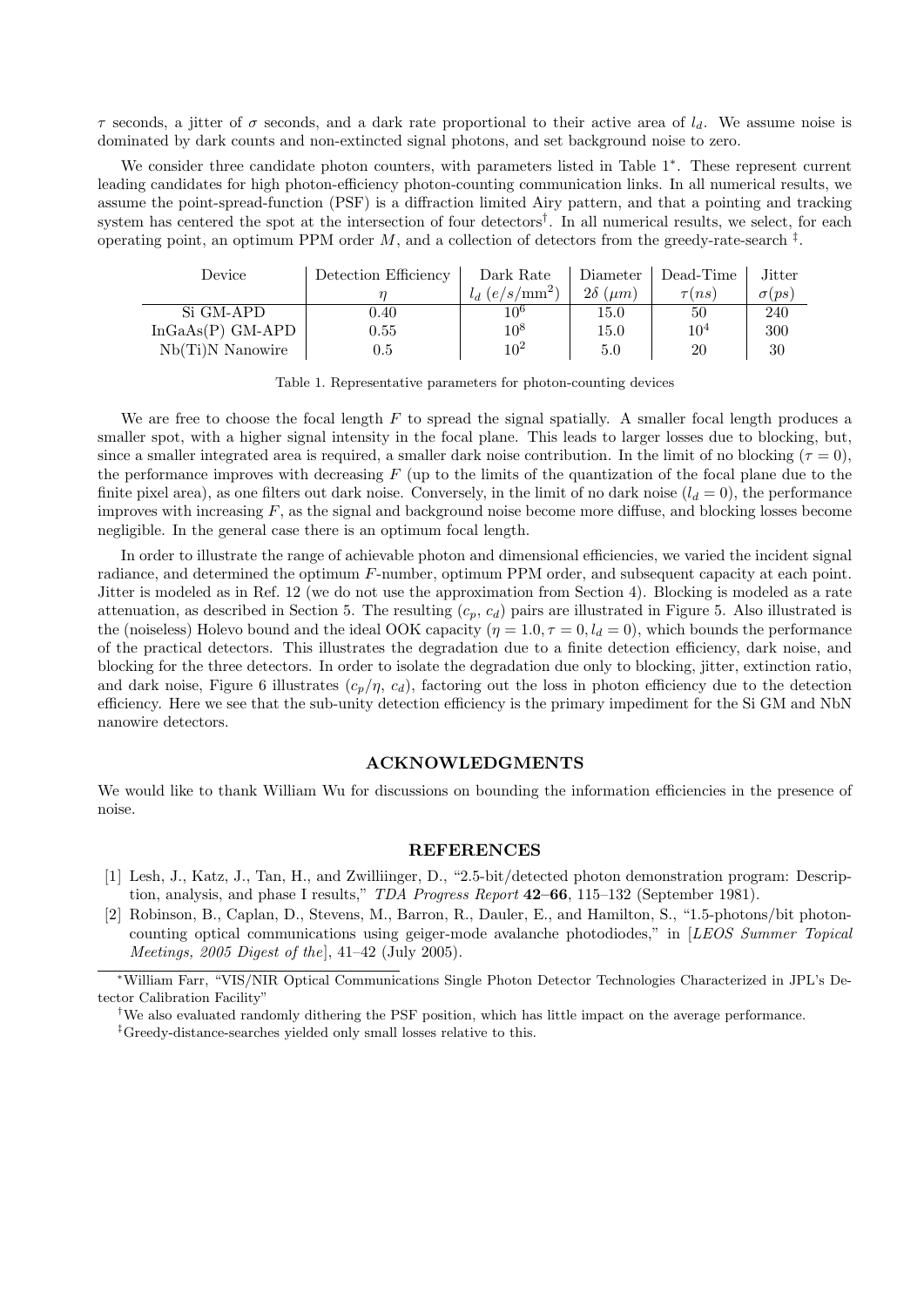*τ* seconds, a jitter of *σ* seconds, and a dark rate proportional to their active area of *ld*. We assume noise is dominated by dark counts and non-extincted signal photons, and set background noise to zero.

We consider three candidate photon counters, with parameters listed in Table 1*<sup>∗</sup>* . These represent current leading candidates for high photon-efficiency photon-counting communication links. In all numerical results, we assume the point-spread-function (PSF) is a diffraction limited Airy pattern, and that a pointing and tracking system has centered the spot at the intersection of four detectors*†* . In all numerical results, we select, for each operating point, an optimum PPM order  $M$ , and a collection of detectors from the greedy-rate-search  $\ddot{\uparrow}$ .

| Device             | Detection Efficiency | Dark Rate        | Diameter             | Dead-Time  | Jitter        |
|--------------------|----------------------|------------------|----------------------|------------|---------------|
|                    |                      | $l_d (e/s/mm^2)$ | $2\delta \; (\mu m)$ | $\tau(ns)$ | $\sigma (ps)$ |
| Si GM-APD          | 0.40                 | 10 <sup>6</sup>  | 15.0                 | 50         | 240           |
| $InGaAs(P)$ GM-APD | 0.55                 | $10^8\,$         | 15.0                 | $10^{4}$   | 300           |
| $Nb(Ti)N$ Nanowire | $\rm 0.5$            | $10^2$           | 5.0                  | 20         | 30            |

Table 1. Representative parameters for photon-counting devices

We are free to choose the focal length *F* to spread the signal spatially. A smaller focal length produces a smaller spot, with a higher signal intensity in the focal plane. This leads to larger losses due to blocking, but, since a smaller integrated area is required, a smaller dark noise contribution. In the limit of no blocking  $(τ = 0)$ , the performance improves with decreasing *F* (up to the limits of the quantization of the focal plane due to the finite pixel area), as one filters out dark noise. Conversely, in the limit of no dark noise  $(l_d = 0)$ , the performance improves with increasing *F*, as the signal and background noise become more diffuse, and blocking losses become negligible. In the general case there is an optimum focal length.

In order to illustrate the range of achievable photon and dimensional efficiencies, we varied the incident signal radiance, and determined the optimum *F*-number, optimum PPM order, and subsequent capacity at each point. Jitter is modeled as in Ref. 12 (we do not use the approximation from Section 4). Blocking is modeled as a rate attenuation, as described in Section 5. The resulting  $(c_p, c_d)$  pairs are illustrated in Figure 5. Also illustrated is the (noiseless) Holevo bound and the ideal OOK capacity  $(\eta = 1.0, \tau = 0, l_d = 0)$ , which bounds the performance of the practical detectors. This illustrates the degradation due to a finite detection efficiency, dark noise, and blocking for the three detectors. In order to isolate the degradation due only to blocking, jitter, extinction ratio, and dark noise, Figure 6 illustrates  $(c_p/\eta, c_d)$ , factoring out the loss in photon efficiency due to the detection efficiency. Here we see that the sub-unity detection efficiency is the primary impediment for the Si GM and NbN nanowire detectors.

#### **ACKNOWLEDGMENTS**

We would like to thank William Wu for discussions on bounding the information efficiencies in the presence of noise.

#### **REFERENCES**

- [1] Lesh, J., Katz, J., Tan, H., and Zwilliinger, D., "2*.*5-bit/detected photon demonstration program: Description, analysis, and phase I results," *TDA Progress Report* **42–66**, 115–132 (September 1981).
- [2] Robinson, B., Caplan, D., Stevens, M., Barron, R., Dauler, E., and Hamilton, S., "1*.*5-photons/bit photoncounting optical communications using geiger-mode avalanche photodiodes," in [*LEOS Summer Topical Meetings, 2005 Digest of the*], 41–42 (July 2005).

*‡*Greedy-distance-searches yielded only small losses relative to this.

*<sup>∗</sup>*William Farr, "VIS/NIR Optical Communications Single Photon Detector Technologies Characterized in JPL's Detector Calibration Facility"

*<sup>†</sup>*We also evaluated randomly dithering the PSF position, which has little impact on the average performance.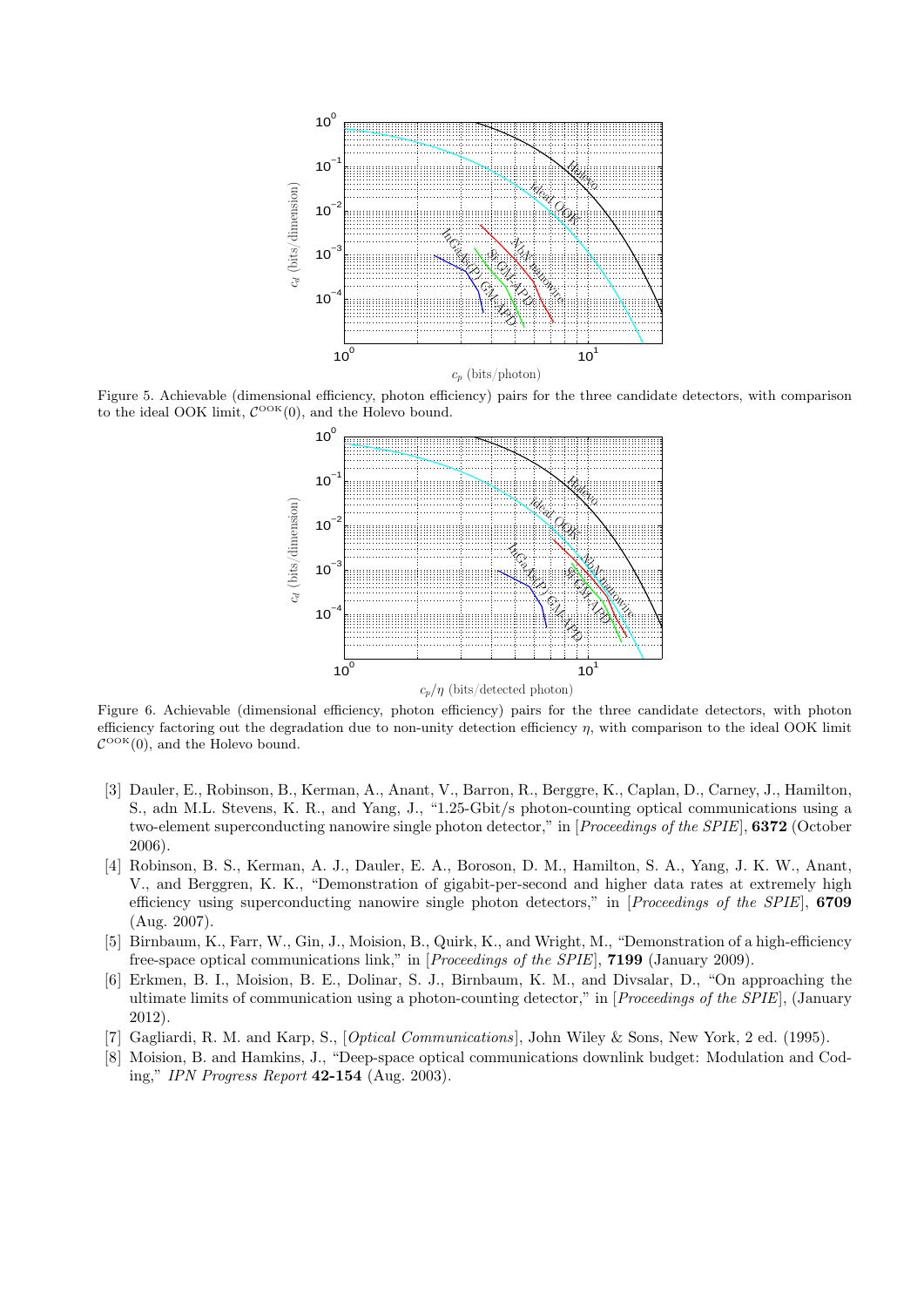

Figure 5. Achievable (dimensional efficiency, photon efficiency) pairs for the three candidate detectors, with comparison to the ideal OOK limit,  $C^{\text{OOK}}(0)$ , and the Holevo bound.



Figure 6. Achievable (dimensional efficiency, photon efficiency) pairs for the three candidate detectors, with photon efficiency factoring out the degradation due to non-unity detection efficiency *η*, with comparison to the ideal OOK limit  $\mathcal{C}^{\text{OOK}}(0)$ , and the Holevo bound.

- [3] Dauler, E., Robinson, B., Kerman, A., Anant, V., Barron, R., Berggre, K., Caplan, D., Carney, J., Hamilton, S., adn M.L. Stevens, K. R., and Yang, J., "1*.*25-Gbit/s photon-counting optical communications using a two-element superconducting nanowire single photon detector," in [*Proceedings of the SPIE*], **6372** (October 2006).
- [4] Robinson, B. S., Kerman, A. J., Dauler, E. A., Boroson, D. M., Hamilton, S. A., Yang, J. K. W., Anant, V., and Berggren, K. K., "Demonstration of gigabit-per-second and higher data rates at extremely high efficiency using superconducting nanowire single photon detectors," in [*Proceedings of the SPIE*], **6709** (Aug. 2007).
- [5] Birnbaum, K., Farr, W., Gin, J., Moision, B., Quirk, K., and Wright, M., "Demonstration of a high-efficiency free-space optical communications link," in [*Proceedings of the SPIE*], **7199** (January 2009).
- [6] Erkmen, B. I., Moision, B. E., Dolinar, S. J., Birnbaum, K. M., and Divsalar, D., "On approaching the ultimate limits of communication using a photon-counting detector," in [*Proceedings of the SPIE*], (January 2012).
- [7] Gagliardi, R. M. and Karp, S., [*Optical Communications* ], John Wiley & Sons, New York, 2 ed. (1995).
- [8] Moision, B. and Hamkins, J., "Deep-space optical communications downlink budget: Modulation and Coding," *IPN Progress Report* **42-154** (Aug. 2003).